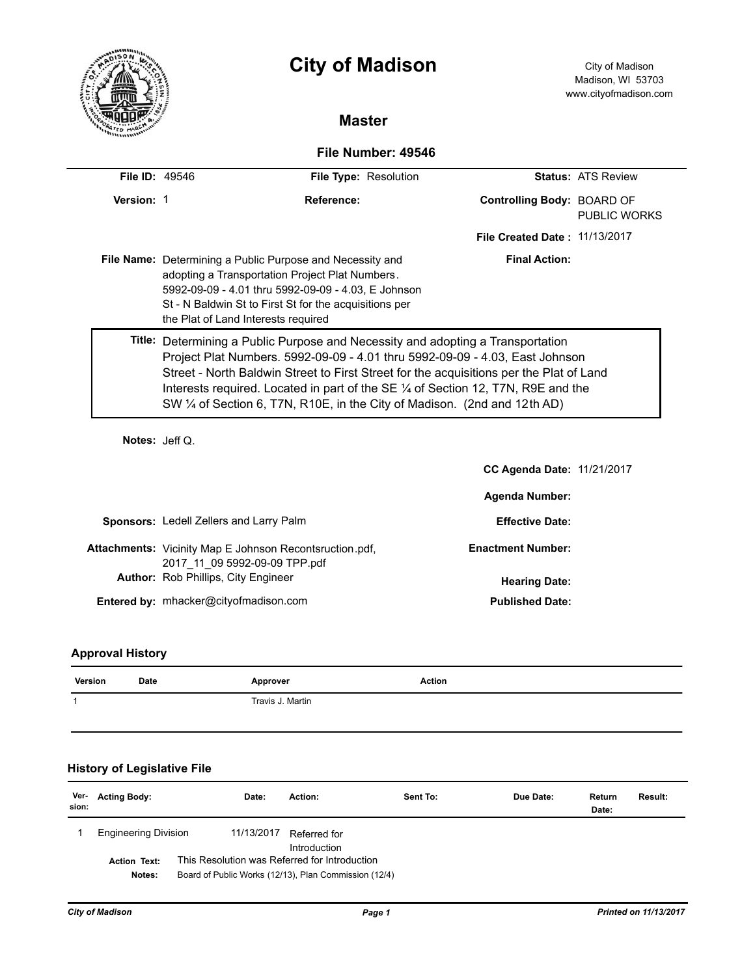|                       |                                     | <b>City of Madison</b>                                                                                                                                                                                                                                                                                                                                                                                                       |                               | City of Madison<br>Madison, WI 53703<br>www.cityofmadison.com |
|-----------------------|-------------------------------------|------------------------------------------------------------------------------------------------------------------------------------------------------------------------------------------------------------------------------------------------------------------------------------------------------------------------------------------------------------------------------------------------------------------------------|-------------------------------|---------------------------------------------------------------|
|                       |                                     | <b>Master</b>                                                                                                                                                                                                                                                                                                                                                                                                                |                               |                                                               |
|                       |                                     | File Number: 49546                                                                                                                                                                                                                                                                                                                                                                                                           |                               |                                                               |
| <b>File ID: 49546</b> |                                     | File Type: Resolution                                                                                                                                                                                                                                                                                                                                                                                                        |                               | <b>Status: ATS Review</b>                                     |
| Version: 1            |                                     | Reference:                                                                                                                                                                                                                                                                                                                                                                                                                   | Controlling Body: BOARD OF    | <b>PUBLIC WORKS</b>                                           |
|                       |                                     |                                                                                                                                                                                                                                                                                                                                                                                                                              | File Created Date: 11/13/2017 |                                                               |
|                       | the Plat of Land Interests required | File Name: Determining a Public Purpose and Necessity and<br>adopting a Transportation Project Plat Numbers.<br>5992-09-09 - 4.01 thru 5992-09-09 - 4.03, E Johnson<br>St - N Baldwin St to First St for the acquisitions per                                                                                                                                                                                                | <b>Final Action:</b>          |                                                               |
|                       |                                     | Title: Determining a Public Purpose and Necessity and adopting a Transportation<br>Project Plat Numbers. 5992-09-09 - 4.01 thru 5992-09-09 - 4.03, East Johnson<br>Street - North Baldwin Street to First Street for the acquisitions per the Plat of Land<br>Interests required. Located in part of the SE 1/4 of Section 12, T7N, R9E and the<br>SW 1/4 of Section 6, T7N, R10E, in the City of Madison. (2nd and 12th AD) |                               |                                                               |
| Notes: Jeff Q.        |                                     |                                                                                                                                                                                                                                                                                                                                                                                                                              |                               |                                                               |
|                       |                                     |                                                                                                                                                                                                                                                                                                                                                                                                                              | CC Agenda Date: 11/21/2017    |                                                               |
|                       |                                     |                                                                                                                                                                                                                                                                                                                                                                                                                              | <b>Agenda Number:</b>         |                                                               |

| <b>Sponsors: Ledell Zellers and Larry Palm</b>                                                  | <b>Effective Date:</b>   |
|-------------------------------------------------------------------------------------------------|--------------------------|
| <b>Attachments:</b> Vicinity Map E Johnson Recontsruction.pdf,<br>2017 11 09 5992-09-09 TPP.pdf | <b>Enactment Number:</b> |
| <b>Author:</b> Rob Phillips, City Engineer                                                      | <b>Hearing Date:</b>     |
| <b>Entered by: mhacker@cityofmadison.com</b>                                                    | <b>Published Date:</b>   |

# **Approval History**

| Version       | <b>Date</b>                        | Approver         |         | <b>Action</b> |           |                 |         |
|---------------|------------------------------------|------------------|---------|---------------|-----------|-----------------|---------|
| 1             |                                    | Travis J. Martin |         |               |           |                 |         |
|               |                                    |                  |         |               |           |                 |         |
|               | <b>History of Legislative File</b> |                  |         |               |           |                 |         |
| Ver-<br>sion: | <b>Acting Body:</b>                | Date:            | Action: | Sent To:      | Due Date: | Return<br>Date: | Result: |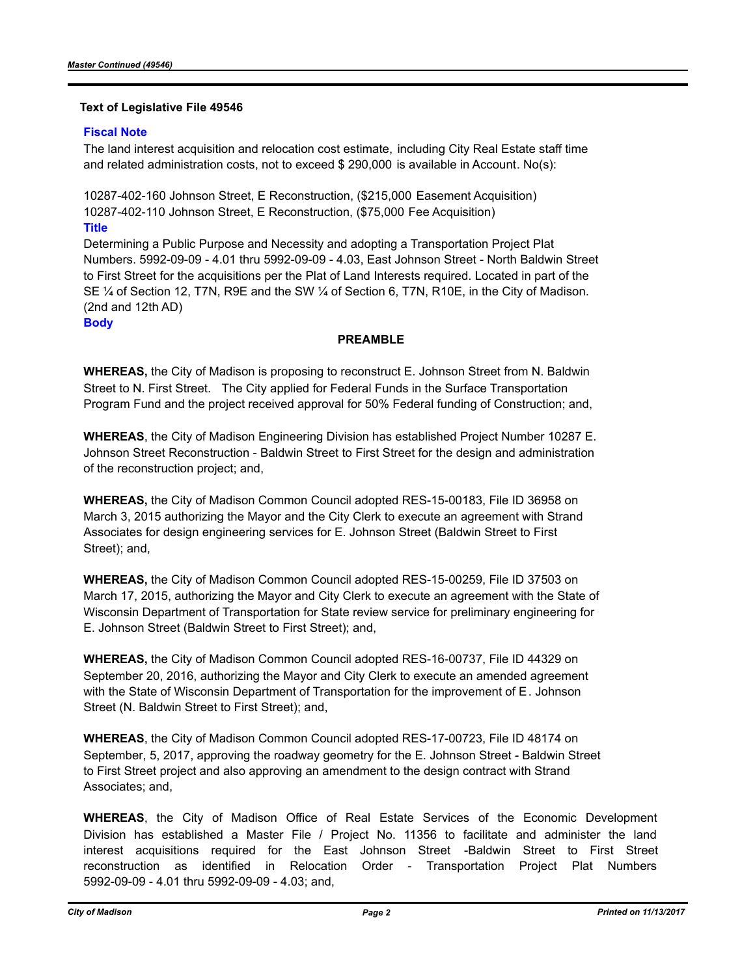## **Text of Legislative File 49546**

## **Fiscal Note**

The land interest acquisition and relocation cost estimate, including City Real Estate staff time and related administration costs, not to exceed \$ 290,000 is available in Account. No(s):

10287-402-160 Johnson Street, E Reconstruction, (\$215,000 Easement Acquisition) 10287-402-110 Johnson Street, E Reconstruction, (\$75,000 Fee Acquisition)

**Title**

Determining a Public Purpose and Necessity and adopting a Transportation Project Plat Numbers. 5992-09-09 - 4.01 thru 5992-09-09 - 4.03, East Johnson Street - North Baldwin Street to First Street for the acquisitions per the Plat of Land Interests required. Located in part of the SE ¼ of Section 12, T7N, R9E and the SW ¼ of Section 6, T7N, R10E, in the City of Madison. (2nd and 12th AD)

### **Body**

## **PREAMBLE**

**WHEREAS,** the City of Madison is proposing to reconstruct E. Johnson Street from N. Baldwin Street to N. First Street. The City applied for Federal Funds in the Surface Transportation Program Fund and the project received approval for 50% Federal funding of Construction; and,

**WHEREAS**, the City of Madison Engineering Division has established Project Number 10287 E. Johnson Street Reconstruction - Baldwin Street to First Street for the design and administration of the reconstruction project; and,

**WHEREAS,** the City of Madison Common Council adopted RES-15-00183, File ID 36958 on March 3, 2015 authorizing the Mayor and the City Clerk to execute an agreement with Strand Associates for design engineering services for E. Johnson Street (Baldwin Street to First Street); and,

**WHEREAS,** the City of Madison Common Council adopted RES-15-00259, File ID 37503 on March 17, 2015, authorizing the Mayor and City Clerk to execute an agreement with the State of Wisconsin Department of Transportation for State review service for preliminary engineering for E. Johnson Street (Baldwin Street to First Street); and,

**WHEREAS,** the City of Madison Common Council adopted RES-16-00737, File ID 44329 on September 20, 2016, authorizing the Mayor and City Clerk to execute an amended agreement with the State of Wisconsin Department of Transportation for the improvement of E. Johnson Street (N. Baldwin Street to First Street); and,

**WHEREAS**, the City of Madison Common Council adopted RES-17-00723, File ID 48174 on September, 5, 2017, approving the roadway geometry for the E. Johnson Street - Baldwin Street to First Street project and also approving an amendment to the design contract with Strand Associates; and,

**WHEREAS**, the City of Madison Office of Real Estate Services of the Economic Development Division has established a Master File / Project No. 11356 to facilitate and administer the land interest acquisitions required for the East Johnson Street -Baldwin Street to First Street reconstruction as identified in Relocation Order - Transportation Project Plat Numbers 5992-09-09 - 4.01 thru 5992-09-09 - 4.03; and,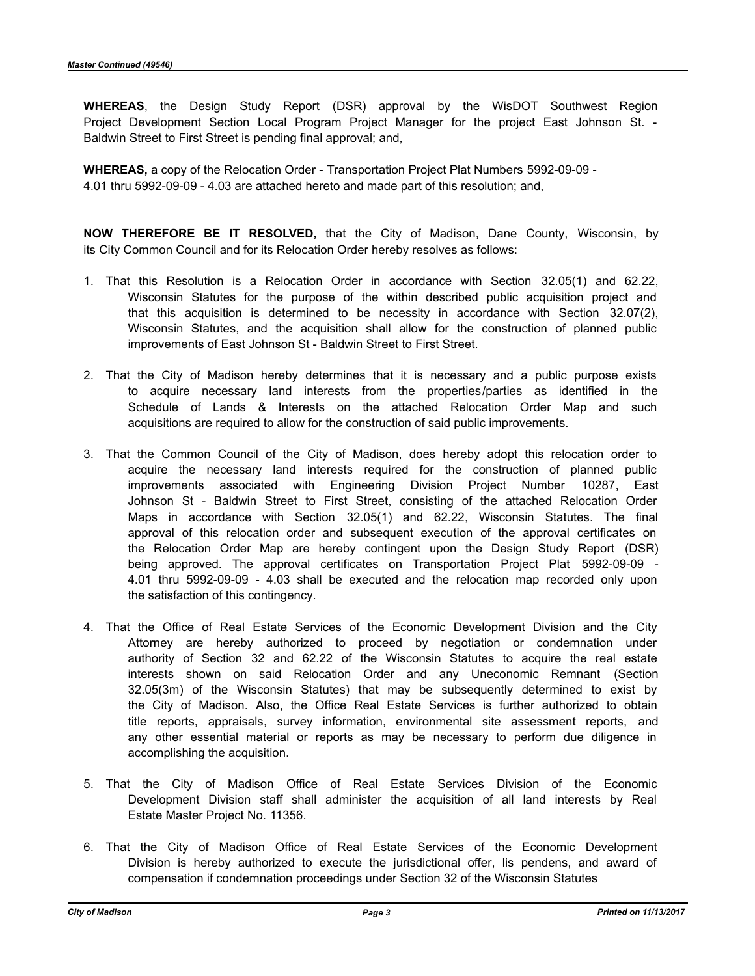**WHEREAS**, the Design Study Report (DSR) approval by the WisDOT Southwest Region Project Development Section Local Program Project Manager for the project East Johnson St. - Baldwin Street to First Street is pending final approval; and,

**WHEREAS,** a copy of the Relocation Order - Transportation Project Plat Numbers 5992-09-09 - 4.01 thru 5992-09-09 - 4.03 are attached hereto and made part of this resolution; and,

**NOW THEREFORE BE IT RESOLVED,** that the City of Madison, Dane County, Wisconsin, by its City Common Council and for its Relocation Order hereby resolves as follows:

- 1. That this Resolution is a Relocation Order in accordance with Section 32.05(1) and 62.22, Wisconsin Statutes for the purpose of the within described public acquisition project and that this acquisition is determined to be necessity in accordance with Section 32.07(2), Wisconsin Statutes, and the acquisition shall allow for the construction of planned public improvements of East Johnson St - Baldwin Street to First Street.
- 2. That the City of Madison hereby determines that it is necessary and a public purpose exists to acquire necessary land interests from the properties/parties as identified in the Schedule of Lands & Interests on the attached Relocation Order Map and such acquisitions are required to allow for the construction of said public improvements.
- 3. That the Common Council of the City of Madison, does hereby adopt this relocation order to acquire the necessary land interests required for the construction of planned public improvements associated with Engineering Division Project Number 10287, East Johnson St - Baldwin Street to First Street, consisting of the attached Relocation Order Maps in accordance with Section 32.05(1) and 62.22, Wisconsin Statutes. The final approval of this relocation order and subsequent execution of the approval certificates on the Relocation Order Map are hereby contingent upon the Design Study Report (DSR) being approved. The approval certificates on Transportation Project Plat 5992-09-09 - 4.01 thru 5992-09-09 - 4.03 shall be executed and the relocation map recorded only upon the satisfaction of this contingency.
- 4. That the Office of Real Estate Services of the Economic Development Division and the City Attorney are hereby authorized to proceed by negotiation or condemnation under authority of Section 32 and 62.22 of the Wisconsin Statutes to acquire the real estate interests shown on said Relocation Order and any Uneconomic Remnant (Section 32.05(3m) of the Wisconsin Statutes) that may be subsequently determined to exist by the City of Madison. Also, the Office Real Estate Services is further authorized to obtain title reports, appraisals, survey information, environmental site assessment reports, and any other essential material or reports as may be necessary to perform due diligence in accomplishing the acquisition.
- 5. That the City of Madison Office of Real Estate Services Division of the Economic Development Division staff shall administer the acquisition of all land interests by Real Estate Master Project No. 11356.
- 6. That the City of Madison Office of Real Estate Services of the Economic Development Division is hereby authorized to execute the jurisdictional offer, lis pendens, and award of compensation if condemnation proceedings under Section 32 of the Wisconsin Statutes